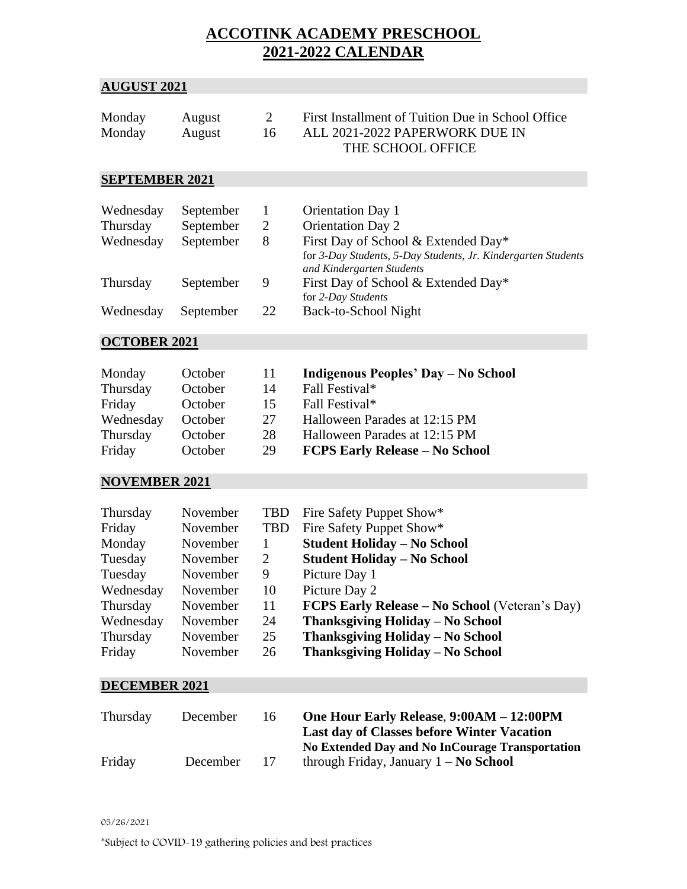# **ACCOTINK ACADEMY PRESCHOOL 2021-2022 CALENDAR**

## **AUGUST 2021**

| Monday | August | First Installment of Tuition Due in School Office |
|--------|--------|---------------------------------------------------|
| Monday | August | ALL 2021-2022 PAPERWORK DUE IN                    |
|        |        | THE SCHOOL OFFICE                                 |

### **SEPTEMBER 2021**

| Wednesday | September |    | <b>Orientation Day 1</b>                                      |
|-----------|-----------|----|---------------------------------------------------------------|
| Thursday  | September |    | <b>Orientation Day 2</b>                                      |
| Wednesday | September | 8  | First Day of School & Extended Day*                           |
|           |           |    | for 3-Day Students, 5-Day Students, Jr. Kindergarten Students |
|           |           |    | and Kindergarten Students                                     |
| Thursday  | September | 9  | First Day of School & Extended Day*                           |
|           |           |    | for 2-Day Students                                            |
| Wednesday | September | 22 | Back-to-School Night                                          |

### **OCTOBER 2021**

| Monday    | October | -11- | Indigenous Peoples' Day - No School   |
|-----------|---------|------|---------------------------------------|
| Thursday  | October | 14   | Fall Festival*                        |
| Friday    | October | 15   | Fall Festival*                        |
| Wednesday | October | 27   | Halloween Parades at 12:15 PM         |
| Thursday  | October | 28   | Halloween Parades at 12:15 PM         |
| Friday    | October | 29   | <b>FCPS Early Release - No School</b> |

### **NOVEMBER 2021**

| Thursday  | November | <b>TBD</b> | Fire Safety Puppet Show*                              |
|-----------|----------|------------|-------------------------------------------------------|
| Friday    | November | <b>TBD</b> | Fire Safety Puppet Show*                              |
| Monday    | November |            | <b>Student Holiday - No School</b>                    |
| Tuesday   | November | 2          | <b>Student Holiday – No School</b>                    |
| Tuesday   | November | 9          | Picture Day 1                                         |
| Wednesday | November | 10         | Picture Day 2                                         |
| Thursday  | November | 11         | <b>FCPS Early Release – No School</b> (Veteran's Day) |
| Wednesday | November | 24         | Thanksgiving Holiday – No School                      |
| Thursday  | November | 25         | Thanksgiving Holiday – No School                      |
| Friday    | November | 26         | Thanksgiving Holiday – No School                      |

#### **DECEMBER 2021**

| Thursday | December | 16 | One Hour Early Release, 9:00AM - 12:00PM          |
|----------|----------|----|---------------------------------------------------|
|          |          |    | <b>Last day of Classes before Winter Vacation</b> |
|          |          |    | No Extended Day and No InCourage Transportation   |
| Friday   | December | 17 | through Friday, January $1 - No$ School           |